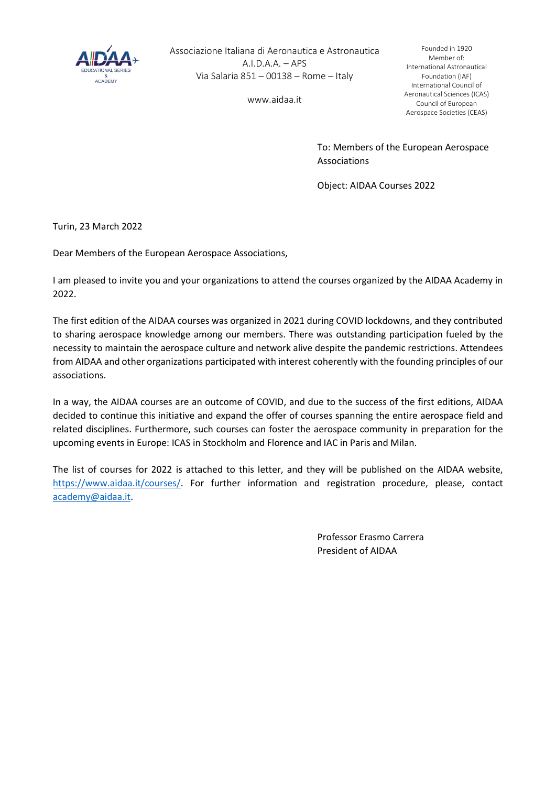

Associazione Italiana di Aeronautica e Astronautica  $A.I.D.A.A. - APS$ Via Salaria 851 – 00138 – Rome – Italy

www.aidaa.it

Founded in 1920 Member of: International Astronautical Foundation (IAF) International Council of Aeronautical Sciences (ICAS) Council of European Aerospace Societies (CEAS)

To: Members of the European Aerospace Associations

Object: AIDAA Courses 2022

Turin, 23 March 2022

Dear Members of the European Aerospace Associations,

I am pleased to invite you and your organizations to attend the courses organized by the AIDAA Academy in 2022.

The first edition of the AIDAA courses was organized in 2021 during COVID lockdowns, and they contributed to sharing aerospace knowledge among our members. There was outstanding participation fueled by the necessity to maintain the aerospace culture and network alive despite the pandemic restrictions. Attendees from AIDAA and other organizations participated with interest coherently with the founding principles of our associations.

In a way, the AIDAA courses are an outcome of COVID, and due to the success of the first editions, AIDAA decided to continue this initiative and expand the offer of courses spanning the entire aerospace field and related disciplines. Furthermore, such courses can foster the aerospace community in preparation for the upcoming events in Europe: ICAS in Stockholm and Florence and IAC in Paris and Milan.

The list of courses for 2022 is attached to this letter, and they will be published on the AIDAA website, [https://www.aidaa.it/courses/.](https://www.aidaa.it/courses/) For further information and registration procedure, please, contact [academy@aidaa.it.](mailto:academy@aidaa.it)

> Professor Erasmo Carrera President of AIDAA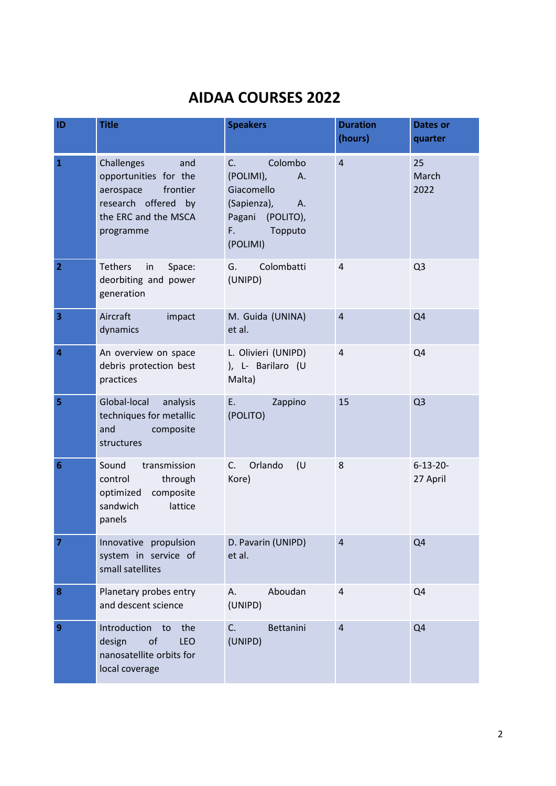## **AIDAA COURSES 2022**

| ID              | <b>Title</b>                                                                                                                    | <b>Speakers</b>                                                                                                      | <b>Duration</b><br>(hours) | Dates or<br>quarter         |
|-----------------|---------------------------------------------------------------------------------------------------------------------------------|----------------------------------------------------------------------------------------------------------------------|----------------------------|-----------------------------|
| $\mathbf{1}$    | Challenges<br>and<br>opportunities for the<br>frontier<br>aerospace<br>research offered by<br>the ERC and the MSCA<br>programme | Colombo<br>C.<br>(POLIMI),<br>А.<br>Giacomello<br>(Sapienza),<br>A.<br>Pagani (POLITO),<br>F.<br>Topputo<br>(POLIMI) | $\overline{4}$             | 25<br>March<br>2022         |
| $\overline{2}$  | <b>Tethers</b><br>in<br>Space:<br>deorbiting and power<br>generation                                                            | Colombatti<br>G.<br>(UNIPD)                                                                                          | $\overline{4}$             | Q <sub>3</sub>              |
| 3               | Aircraft<br>impact<br>dynamics                                                                                                  | M. Guida (UNINA)<br>et al.                                                                                           | $\overline{4}$             | Q <sub>4</sub>              |
| 4               | An overview on space<br>debris protection best<br>practices                                                                     | L. Olivieri (UNIPD)<br>), L- Barilaro (U<br>Malta)                                                                   | $\overline{4}$             | Q4                          |
| 5               | Global-local<br>analysis<br>techniques for metallic<br>and<br>composite<br>structures                                           | E.,<br>Zappino<br>(POLITO)                                                                                           | 15                         | Q <sub>3</sub>              |
| $6\phantom{1}6$ | Sound<br>transmission<br>control<br>through<br>optimized composite<br>sandwich<br>lattice<br>panels                             | C.<br>Orlando<br>(U)<br>Kore)                                                                                        | 8                          | $6 - 13 - 20 -$<br>27 April |
| 7               | Innovative propulsion<br>system in service of<br>small satellites                                                               | D. Pavarin (UNIPD)<br>et al.                                                                                         | $\overline{4}$             | Q <sub>4</sub>              |
| 8               | Planetary probes entry<br>and descent science                                                                                   | Aboudan<br>Α.<br>(UNIPD)                                                                                             | $\overline{4}$             | Q4                          |
| 9               | Introduction to<br>the<br>of<br><b>LEO</b><br>design<br>nanosatellite orbits for<br>local coverage                              | C.<br>Bettanini<br>(UNIPD)                                                                                           | $\overline{4}$             | Q <sub>4</sub>              |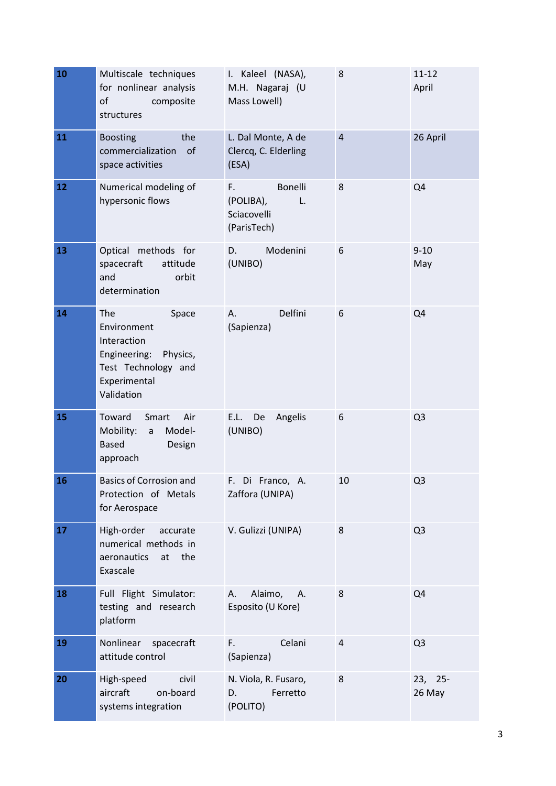| 10 | Multiscale techniques<br>for nonlinear analysis<br>composite<br>of<br>structures                                         | I. Kaleel (NASA),<br>M.H. Nagaraj (U<br>Mass Lowell)           | 8              | $11 - 12$<br>April |
|----|--------------------------------------------------------------------------------------------------------------------------|----------------------------------------------------------------|----------------|--------------------|
| 11 | the<br><b>Boosting</b><br>of<br>commercialization<br>space activities                                                    | L. Dal Monte, A de<br>Clercq, C. Elderling<br>(ESA)            | $\overline{4}$ | 26 April           |
| 12 | Numerical modeling of<br>hypersonic flows                                                                                | Bonelli<br>F.<br>(POLIBA),<br>L.<br>Sciacovelli<br>(ParisTech) | 8              | Q4                 |
| 13 | Optical methods for<br>spacecraft<br>attitude<br>and<br>orbit<br>determination                                           | Modenini<br>D.<br>(UNIBO)                                      | 6              | $9 - 10$<br>May    |
| 14 | The<br>Space<br>Environment<br>Interaction<br>Engineering: Physics,<br>Test Technology and<br>Experimental<br>Validation | Delfini<br>А.<br>(Sapienza)                                    | 6              | Q4                 |
| 15 | Toward<br>Air<br>Smart<br>Mobility:<br>Model-<br>a<br><b>Based</b><br>Design<br>approach                                 | E.L.<br>De<br>Angelis<br>(UNIBO)                               | 6              | Q <sub>3</sub>     |
| 16 | <b>Basics of Corrosion and</b><br>Protection of Metals<br>for Aerospace                                                  | F. Di Franco, A.<br>Zaffora (UNIPA)                            | 10             | Q <sub>3</sub>     |
| 17 | High-order<br>accurate<br>numerical methods in<br>aeronautics<br>at the<br>Exascale                                      | V. Gulizzi (UNIPA)                                             | 8              | Q <sub>3</sub>     |
| 18 | Full Flight Simulator:<br>testing and research<br>platform                                                               | Alaimo,<br>А.<br>А.<br>Esposito (U Kore)                       | 8              | Q4                 |
| 19 | Nonlinear<br>spacecraft<br>attitude control                                                                              | F.<br>Celani<br>(Sapienza)                                     | 4              | Q <sub>3</sub>     |
| 20 | High-speed<br>civil<br>aircraft<br>on-board<br>systems integration                                                       | N. Viola, R. Fusaro,<br>Ferretto<br>D.<br>(POLITO)             | 8              | 23, 25-<br>26 May  |